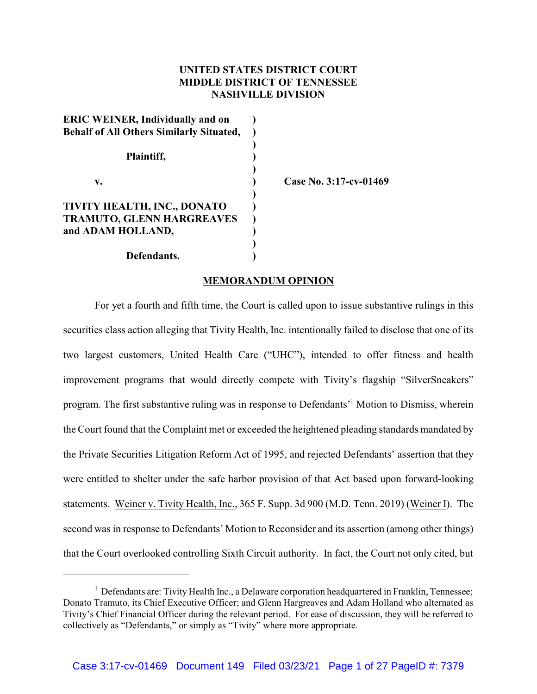# **UNITED STATES DISTRICT COURT MIDDLE DISTRICT OF TENNESSEE NASHVILLE DIVISION**

| <b>ERIC WEINER, Individually and on</b>         |  |
|-------------------------------------------------|--|
| <b>Behalf of All Others Similarly Situated,</b> |  |
|                                                 |  |
| Plaintiff,                                      |  |
|                                                 |  |
| v.                                              |  |
|                                                 |  |
| TIVITY HEALTH, INC., DONATO                     |  |
| <b>TRAMUTO, GLENN HARGREAVES</b>                |  |
| and ADAM HOLLAND,                               |  |
|                                                 |  |
| Defendants.                                     |  |

**v. ) Case No. 3:17-cv-01469**

# **MEMORANDUM OPINION**

For yet a fourth and fifth time, the Court is called upon to issue substantive rulings in this securities class action alleging that Tivity Health, Inc. intentionally failed to disclose that one of its two largest customers, United Health Care ("UHC"), intended to offer fitness and health improvement programs that would directly compete with Tivity's flagship "SilverSneakers" program. The first substantive ruling was in response to Defendants'<sup>1</sup> Motion to Dismiss, wherein the Court found that the Complaint met or exceeded the heightened pleading standards mandated by the Private Securities Litigation Reform Act of 1995, and rejected Defendants' assertion that they were entitled to shelter under the safe harbor provision of that Act based upon forward-looking statements. Weiner v. Tivity Health, Inc., 365 F. Supp. 3d 900 (M.D. Tenn. 2019) (Weiner I). The second was in response to Defendants' Motion to Reconsider and its assertion (among other things) that the Court overlooked controlling Sixth Circuit authority. In fact, the Court not only cited, but

 $<sup>1</sup>$  Defendants are: Tivity Health Inc., a Delaware corporation headquartered in Franklin, Tennessee;</sup> Donato Tramuto, its Chief Executive Officer; and Glenn Hargreaves and Adam Holland who alternated as Tivity's Chief Financial Officer during the relevant period. For ease of discussion, they will be referred to collectively as "Defendants," or simply as "Tivity" where more appropriate.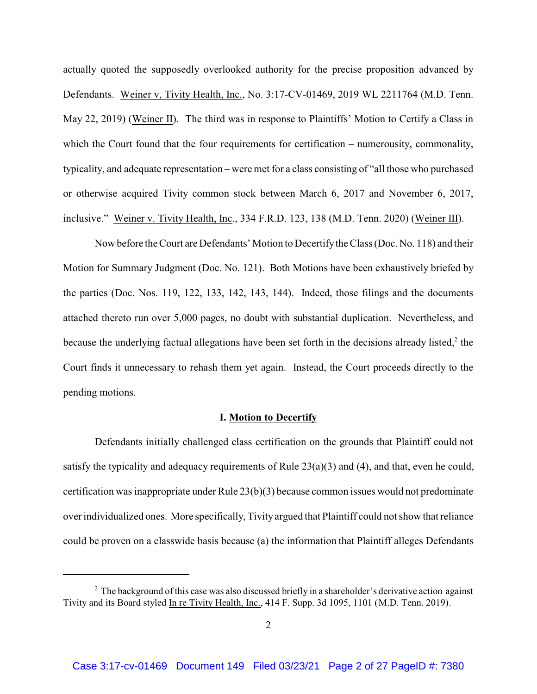actually quoted the supposedly overlooked authority for the precise proposition advanced by Defendants. Weiner v, Tivity Health, Inc., No. 3:17-CV-01469, 2019 WL 2211764 (M.D. Tenn. May 22, 2019) (Weiner II). The third was in response to Plaintiffs' Motion to Certify a Class in which the Court found that the four requirements for certification – numerousity, commonality, typicality, and adequate representation – were met for a class consisting of "all those who purchased or otherwise acquired Tivity common stock between March 6, 2017 and November 6, 2017, inclusive." Weiner v. Tivity Health, Inc., 334 F.R.D. 123, 138 (M.D. Tenn. 2020) (Weiner III).

Now before the Court are Defendants' Motion to Decertifythe Class (Doc. No. 118) and their Motion for Summary Judgment (Doc. No. 121). Both Motions have been exhaustively briefed by the parties (Doc. Nos. 119, 122, 133, 142, 143, 144). Indeed, those filings and the documents attached thereto run over 5,000 pages, no doubt with substantial duplication. Nevertheless, and because the underlying factual allegations have been set forth in the decisions already listed, $2$  the Court finds it unnecessary to rehash them yet again. Instead, the Court proceeds directly to the pending motions.

#### **I. Motion to Decertify**

Defendants initially challenged class certification on the grounds that Plaintiff could not satisfy the typicality and adequacy requirements of Rule 23(a)(3) and (4), and that, even he could, certification was inappropriate under Rule 23(b)(3) because common issues would not predominate over individualized ones. More specifically, Tivity argued that Plaintiff could not show that reliance could be proven on a classwide basis because (a) the information that Plaintiff alleges Defendants

 $<sup>2</sup>$  The background of this case was also discussed briefly in a shareholder's derivative action against</sup> Tivity and its Board styled In re Tivity Health, Inc., 414 F. Supp. 3d 1095, 1101 (M.D. Tenn. 2019).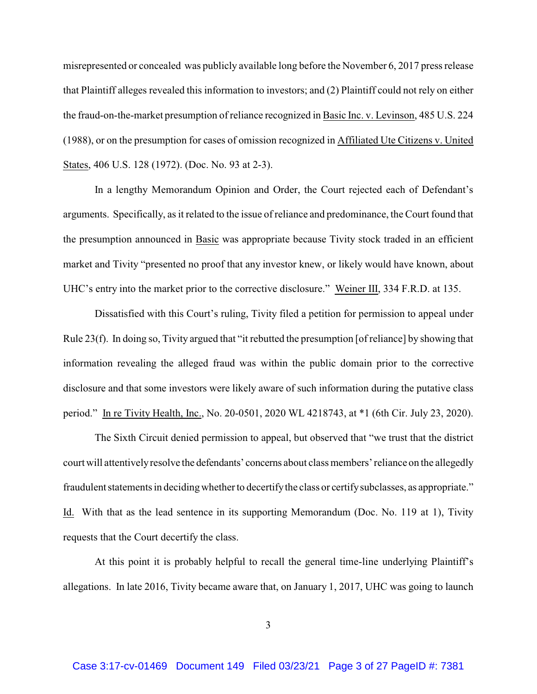misrepresented or concealed was publicly available long before the November 6, 2017 press release that Plaintiff alleges revealed this information to investors; and (2) Plaintiff could not rely on either the fraud-on-the-market presumption of reliance recognized in Basic Inc. v. Levinson, 485 U.S. 224 (1988), or on the presumption for cases of omission recognized in Affiliated Ute Citizens v. United States, 406 U.S. 128 (1972). (Doc. No. 93 at 2-3).

In a lengthy Memorandum Opinion and Order, the Court rejected each of Defendant's arguments. Specifically, as it related to the issue of reliance and predominance, the Court found that the presumption announced in Basic was appropriate because Tivity stock traded in an efficient market and Tivity "presented no proof that any investor knew, or likely would have known, about UHC's entry into the market prior to the corrective disclosure." Weiner III, 334 F.R.D. at 135.

Dissatisfied with this Court's ruling, Tivity filed a petition for permission to appeal under Rule 23(f). In doing so, Tivity argued that "it rebutted the presumption [of reliance] by showing that information revealing the alleged fraud was within the public domain prior to the corrective disclosure and that some investors were likely aware of such information during the putative class period." In re Tivity Health, Inc., No. 20-0501, 2020 WL 4218743, at \*1 (6th Cir. July 23, 2020).

The Sixth Circuit denied permission to appeal, but observed that "we trust that the district court will attentivelyresolve the defendants' concerns about class members' reliance on the allegedly fraudulent statements in deciding whether to decertify the class or certify subclasses, as appropriate." Id. With that as the lead sentence in its supporting Memorandum (Doc. No. 119 at 1), Tivity requests that the Court decertify the class.

At this point it is probably helpful to recall the general time-line underlying Plaintiff's allegations. In late 2016, Tivity became aware that, on January 1, 2017, UHC was going to launch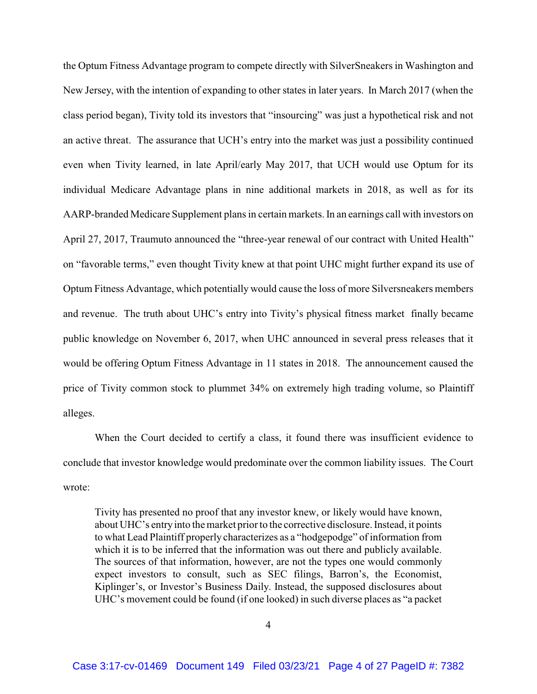the Optum Fitness Advantage program to compete directly with SilverSneakers in Washington and New Jersey, with the intention of expanding to other states in later years. In March 2017 (when the class period began), Tivity told its investors that "insourcing" was just a hypothetical risk and not an active threat. The assurance that UCH's entry into the market was just a possibility continued even when Tivity learned, in late April/early May 2017, that UCH would use Optum for its individual Medicare Advantage plans in nine additional markets in 2018, as well as for its AARP-branded Medicare Supplement plans in certain markets. In an earnings call with investors on April 27, 2017, Traumuto announced the "three-year renewal of our contract with United Health" on "favorable terms," even thought Tivity knew at that point UHC might further expand its use of Optum Fitness Advantage, which potentially would cause the loss of more Silversneakers members and revenue. The truth about UHC's entry into Tivity's physical fitness market finally became public knowledge on November 6, 2017, when UHC announced in several press releases that it would be offering Optum Fitness Advantage in 11 states in 2018. The announcement caused the price of Tivity common stock to plummet 34% on extremely high trading volume, so Plaintiff alleges.

When the Court decided to certify a class, it found there was insufficient evidence to conclude that investor knowledge would predominate over the common liability issues. The Court wrote:

Tivity has presented no proof that any investor knew, or likely would have known, about UHC's entryinto the market prior to the corrective disclosure. Instead, it points to what Lead Plaintiff properly characterizes as a "hodgepodge" of information from which it is to be inferred that the information was out there and publicly available. The sources of that information, however, are not the types one would commonly expect investors to consult, such as SEC filings, Barron's, the Economist, Kiplinger's, or Investor's Business Daily. Instead, the supposed disclosures about UHC's movement could be found (if one looked) in such diverse places as "a packet

4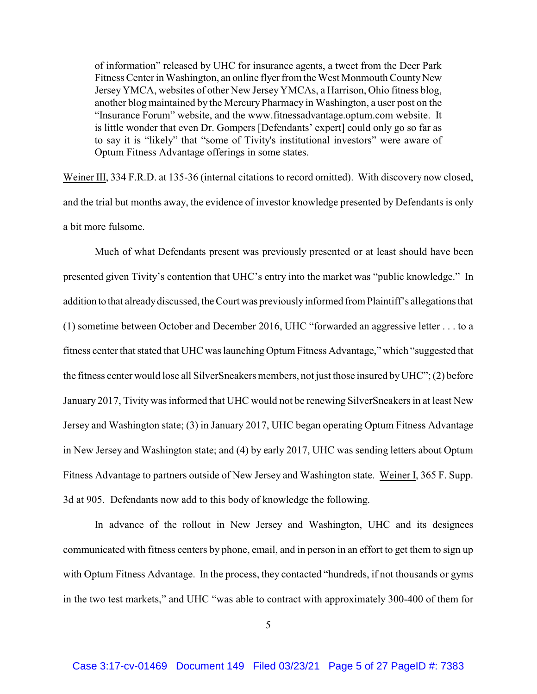of information" released by UHC for insurance agents, a tweet from the Deer Park Fitness Center in Washington, an online flyer from the West Monmouth County New JerseyYMCA, websites of other New JerseyYMCAs, a Harrison, Ohio fitness blog, another blog maintained by the MercuryPharmacy in Washington, a user post on the "Insurance Forum" website, and the www.fitnessadvantage.optum.com website. It is little wonder that even Dr. Gompers [Defendants' expert] could only go so far as to say it is "likely" that "some of Tivity's institutional investors" were aware of Optum Fitness Advantage offerings in some states.

Weiner III, 334 F.R.D. at 135-36 (internal citations to record omitted). With discovery now closed, and the trial but months away, the evidence of investor knowledge presented by Defendants is only a bit more fulsome.

Much of what Defendants present was previously presented or at least should have been presented given Tivity's contention that UHC's entry into the market was "public knowledge." In addition to that alreadydiscussed, the Court was previouslyinformed from Plaintiff's allegations that (1) sometime between October and December 2016, UHC "forwarded an aggressive letter . . . to a fitness center that stated that UHC was launching Optum Fitness Advantage," which "suggested that the fitness center would lose all SilverSneakers members, not just those insured byUHC"; (2) before January 2017, Tivity was informed that UHC would not be renewing SilverSneakers in at least New Jersey and Washington state; (3) in January 2017, UHC began operating Optum Fitness Advantage in New Jersey and Washington state; and (4) by early 2017, UHC was sending letters about Optum Fitness Advantage to partners outside of New Jersey and Washington state. Weiner I, 365 F. Supp. 3d at 905. Defendants now add to this body of knowledge the following.

In advance of the rollout in New Jersey and Washington, UHC and its designees communicated with fitness centers by phone, email, and in person in an effort to get them to sign up with Optum Fitness Advantage. In the process, they contacted "hundreds, if not thousands or gyms in the two test markets," and UHC "was able to contract with approximately 300-400 of them for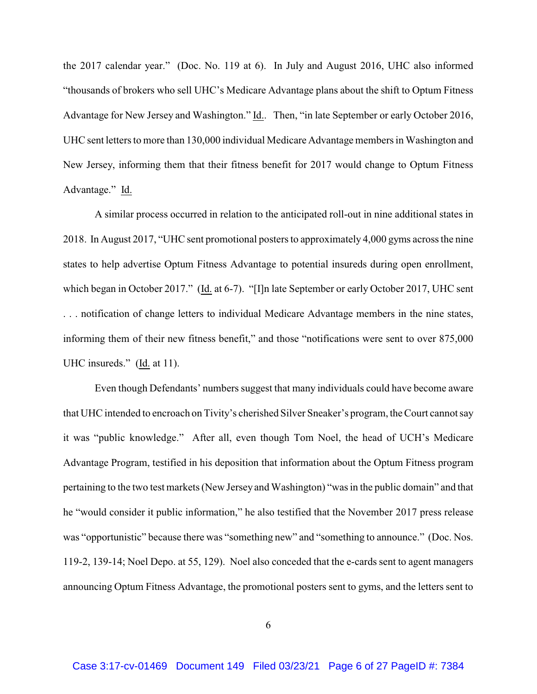the 2017 calendar year." (Doc. No. 119 at 6). In July and August 2016, UHC also informed "thousands of brokers who sell UHC's Medicare Advantage plans about the shift to Optum Fitness Advantage for New Jersey and Washington." Id.. Then, "in late September or early October 2016, UHC sent letters to more than 130,000 individual Medicare Advantage members in Washington and New Jersey, informing them that their fitness benefit for 2017 would change to Optum Fitness Advantage." Id.

A similar process occurred in relation to the anticipated roll-out in nine additional states in 2018. In August 2017, "UHC sent promotional posters to approximately 4,000 gyms across the nine states to help advertise Optum Fitness Advantage to potential insureds during open enrollment, which began in October 2017." (Id. at 6-7). "[I]n late September or early October 2017, UHC sent . . . notification of change letters to individual Medicare Advantage members in the nine states, informing them of their new fitness benefit," and those "notifications were sent to over 875,000 UHC insureds." (Id. at 11).

Even though Defendants' numbers suggest that many individuals could have become aware that UHC intended to encroach on Tivity's cherished Silver Sneaker's program, the Court cannot say it was "public knowledge." After all, even though Tom Noel, the head of UCH's Medicare Advantage Program, testified in his deposition that information about the Optum Fitness program pertaining to the two test markets (New Jersey and Washington) "was in the public domain" and that he "would consider it public information," he also testified that the November 2017 press release was "opportunistic" because there was "something new" and "something to announce." (Doc. Nos. 119-2, 139-14; Noel Depo. at 55, 129). Noel also conceded that the e-cards sent to agent managers announcing Optum Fitness Advantage, the promotional posters sent to gyms, and the letters sent to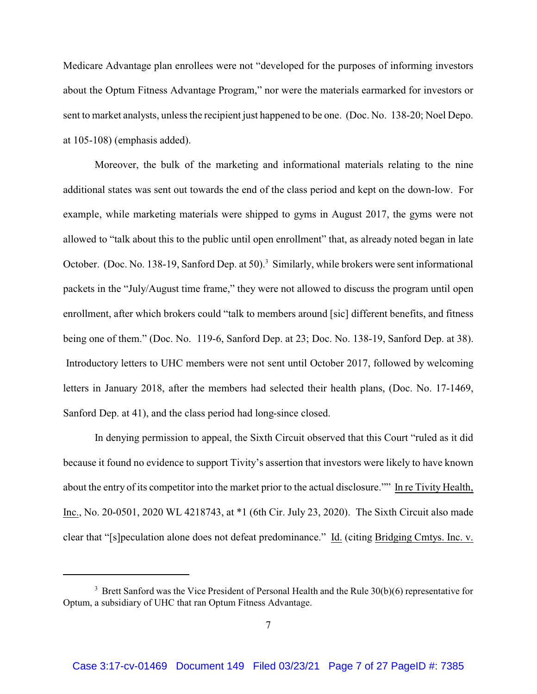Medicare Advantage plan enrollees were not "developed for the purposes of informing investors about the Optum Fitness Advantage Program," nor were the materials earmarked for investors or sent to market analysts, unless the recipient just happened to be one. (Doc. No. 138-20; Noel Depo. at 105-108) (emphasis added).

Moreover, the bulk of the marketing and informational materials relating to the nine additional states was sent out towards the end of the class period and kept on the down-low. For example, while marketing materials were shipped to gyms in August 2017, the gyms were not allowed to "talk about this to the public until open enrollment" that, as already noted began in late October. (Doc. No. 138-19, Sanford Dep. at 50).<sup>3</sup> Similarly, while brokers were sent informational packets in the "July/August time frame," they were not allowed to discuss the program until open enrollment, after which brokers could "talk to members around [sic] different benefits, and fitness being one of them." (Doc. No. 119-6, Sanford Dep. at 23; Doc. No. 138-19, Sanford Dep. at 38). Introductory letters to UHC members were not sent until October 2017, followed by welcoming letters in January 2018, after the members had selected their health plans, (Doc. No. 17-1469, Sanford Dep. at 41), and the class period had long-since closed.

In denying permission to appeal, the Sixth Circuit observed that this Court "ruled as it did because it found no evidence to support Tivity's assertion that investors were likely to have known about the entry of its competitor into the market prior to the actual disclosure."" In re Tivity Health, Inc., No. 20-0501, 2020 WL 4218743, at \*1 (6th Cir. July 23, 2020). The Sixth Circuit also made clear that "[s]peculation alone does not defeat predominance." Id. (citing Bridging Cmtys. Inc. v.

<sup>&</sup>lt;sup>3</sup> Brett Sanford was the Vice President of Personal Health and the Rule 30(b)(6) representative for Optum, a subsidiary of UHC that ran Optum Fitness Advantage.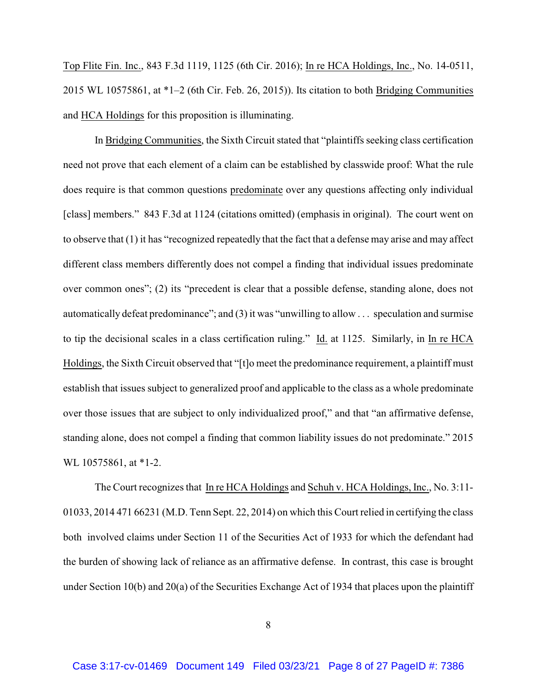Top Flite Fin. Inc., 843 F.3d 1119, 1125 (6th Cir. 2016); In re HCA Holdings, Inc., No. 14-0511, 2015 WL 10575861, at \*1–2 (6th Cir. Feb. 26, 2015)). Its citation to both Bridging Communities and HCA Holdings for this proposition is illuminating.

In Bridging Communities, the Sixth Circuit stated that "plaintiffs seeking class certification need not prove that each element of a claim can be established by classwide proof: What the rule does require is that common questions predominate over any questions affecting only individual [class] members." 843 F.3d at 1124 (citations omitted) (emphasis in original). The court went on to observe that (1) it has "recognized repeatedly that the fact that a defense may arise and may affect different class members differently does not compel a finding that individual issues predominate over common ones"; (2) its "precedent is clear that a possible defense, standing alone, does not automatically defeat predominance"; and (3) it was "unwilling to allow . . . speculation and surmise to tip the decisional scales in a class certification ruling." Id. at 1125. Similarly, in In re HCA Holdings, the Sixth Circuit observed that "[t]o meet the predominance requirement, a plaintiff must establish that issues subject to generalized proof and applicable to the class as a whole predominate over those issues that are subject to only individualized proof," and that "an affirmative defense, standing alone, does not compel a finding that common liability issues do not predominate." 2015 WL 10575861, at \*1-2.

The Court recognizes that In re HCA Holdings and Schuh v. HCA Holdings, Inc., No. 3:11- 01033, 2014 471 66231 (M.D. Tenn Sept. 22, 2014) on which this Court relied in certifying the class both involved claims under Section 11 of the Securities Act of 1933 for which the defendant had the burden of showing lack of reliance as an affirmative defense. In contrast, this case is brought under Section 10(b) and 20(a) of the Securities Exchange Act of 1934 that places upon the plaintiff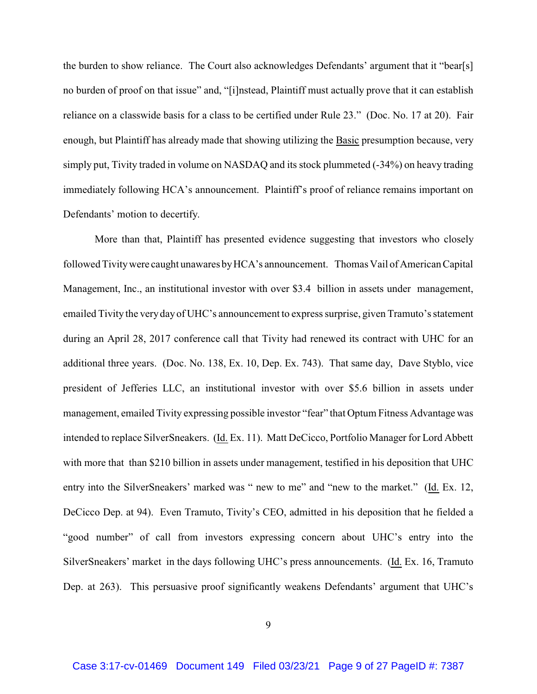the burden to show reliance. The Court also acknowledges Defendants' argument that it "bear[s] no burden of proof on that issue" and, "[i]nstead, Plaintiff must actually prove that it can establish reliance on a classwide basis for a class to be certified under Rule 23." (Doc. No. 17 at 20). Fair enough, but Plaintiff has already made that showing utilizing the Basic presumption because, very simply put, Tivity traded in volume on NASDAQ and its stock plummeted (-34%) on heavy trading immediately following HCA's announcement. Plaintiff's proof of reliance remains important on Defendants' motion to decertify.

More than that, Plaintiff has presented evidence suggesting that investors who closely followed Tivity were caught unawares by HCA's announcement. Thomas Vail of American Capital Management, Inc., an institutional investor with over \$3.4 billion in assets under management, emailed Tivity the veryday of UHC's announcement to express surprise, given Tramuto's statement during an April 28, 2017 conference call that Tivity had renewed its contract with UHC for an additional three years. (Doc. No. 138, Ex. 10, Dep. Ex. 743). That same day, Dave Styblo, vice president of Jefferies LLC, an institutional investor with over \$5.6 billion in assets under management, emailed Tivity expressing possible investor "fear" that Optum Fitness Advantage was intended to replace SilverSneakers. (Id. Ex. 11). Matt DeCicco, Portfolio Manager for Lord Abbett with more that than \$210 billion in assets under management, testified in his deposition that UHC entry into the SilverSneakers' marked was " new to me" and "new to the market." (Id. Ex. 12, DeCicco Dep. at 94). Even Tramuto, Tivity's CEO, admitted in his deposition that he fielded a "good number" of call from investors expressing concern about UHC's entry into the SilverSneakers' market in the days following UHC's press announcements. (Id. Ex. 16, Tramuto Dep. at 263). This persuasive proof significantly weakens Defendants' argument that UHC's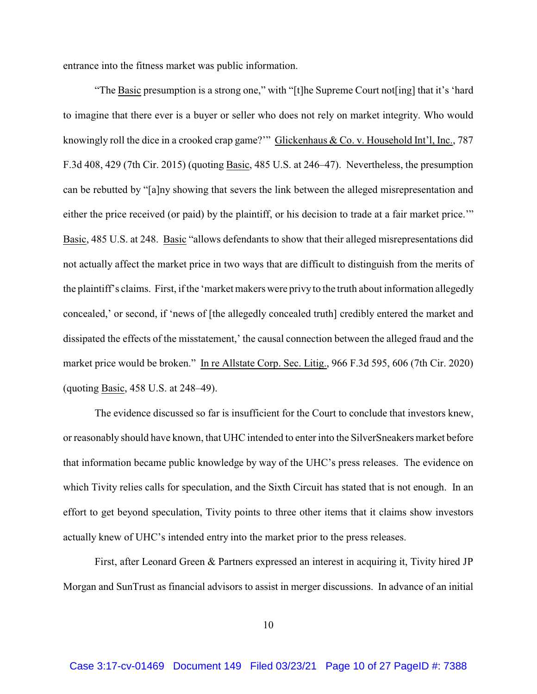entrance into the fitness market was public information.

"The Basic presumption is a strong one," with "[t]he Supreme Court not[ing] that it's 'hard to imagine that there ever is a buyer or seller who does not rely on market integrity. Who would knowingly roll the dice in a crooked crap game?'" Glickenhaus & Co. v. Household Int'l, Inc., 787 F.3d 408, 429 (7th Cir. 2015) (quoting Basic, 485 U.S. at 246–47). Nevertheless, the presumption can be rebutted by "[a]ny showing that severs the link between the alleged misrepresentation and either the price received (or paid) by the plaintiff, or his decision to trade at a fair market price.'" Basic, 485 U.S. at 248. Basic "allows defendants to show that their alleged misrepresentations did not actually affect the market price in two ways that are difficult to distinguish from the merits of the plaintiff's claims. First, if the 'market makers were privy to the truth about information allegedly concealed,' or second, if 'news of [the allegedly concealed truth] credibly entered the market and dissipated the effects of the misstatement,' the causal connection between the alleged fraud and the market price would be broken." In re Allstate Corp. Sec. Litig., 966 F.3d 595, 606 (7th Cir. 2020) (quoting Basic, 458 U.S. at 248–49).

The evidence discussed so far is insufficient for the Court to conclude that investors knew, or reasonably should have known, that UHC intended to enter into the SilverSneakers market before that information became public knowledge by way of the UHC's press releases. The evidence on which Tivity relies calls for speculation, and the Sixth Circuit has stated that is not enough. In an effort to get beyond speculation, Tivity points to three other items that it claims show investors actually knew of UHC's intended entry into the market prior to the press releases.

First, after Leonard Green & Partners expressed an interest in acquiring it, Tivity hired JP Morgan and SunTrust as financial advisors to assist in merger discussions. In advance of an initial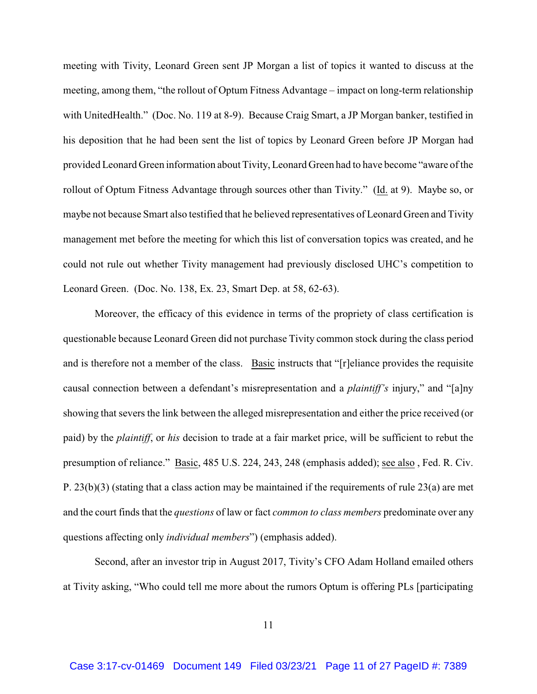meeting with Tivity, Leonard Green sent JP Morgan a list of topics it wanted to discuss at the meeting, among them, "the rollout of Optum Fitness Advantage – impact on long-term relationship with UnitedHealth." (Doc. No. 119 at 8-9). Because Craig Smart, a JP Morgan banker, testified in his deposition that he had been sent the list of topics by Leonard Green before JP Morgan had provided Leonard Green information about Tivity, Leonard Green had to have become "aware of the rollout of Optum Fitness Advantage through sources other than Tivity." (Id. at 9). Maybe so, or maybe not because Smart also testified that he believed representatives of Leonard Green and Tivity management met before the meeting for which this list of conversation topics was created, and he could not rule out whether Tivity management had previously disclosed UHC's competition to Leonard Green. (Doc. No. 138, Ex. 23, Smart Dep. at 58, 62-63).

Moreover, the efficacy of this evidence in terms of the propriety of class certification is questionable because Leonard Green did not purchase Tivity common stock during the class period and is therefore not a member of the class. Basic instructs that "[r]eliance provides the requisite causal connection between a defendant's misrepresentation and a *plaintiff's* injury," and "[a]ny showing that severs the link between the alleged misrepresentation and either the price received (or paid) by the *plaintiff*, or *his* decision to trade at a fair market price, will be sufficient to rebut the presumption of reliance." Basic, 485 U.S. 224, 243, 248 (emphasis added); see also , Fed. R. Civ. P. 23(b)(3) (stating that a class action may be maintained if the requirements of rule 23(a) are met and the court finds that the *questions* of law or fact *common to class members* predominate over any questions affecting only *individual members*") (emphasis added).

Second, after an investor trip in August 2017, Tivity's CFO Adam Holland emailed others at Tivity asking, "Who could tell me more about the rumors Optum is offering PLs [participating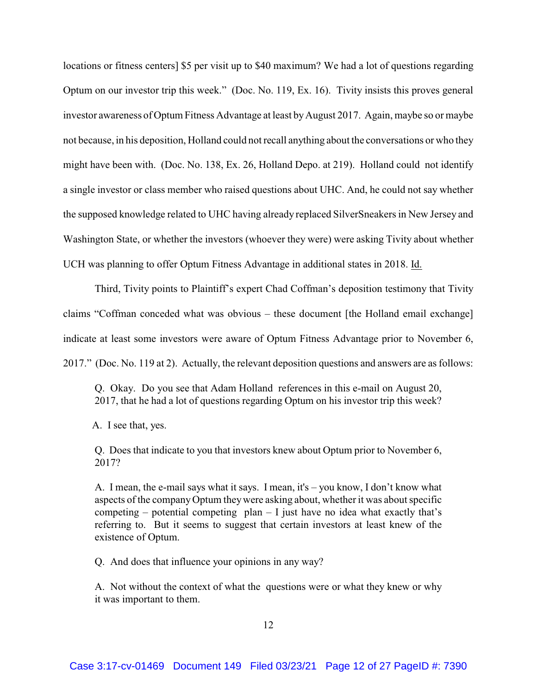locations or fitness centers] \$5 per visit up to \$40 maximum? We had a lot of questions regarding Optum on our investor trip this week." (Doc. No. 119, Ex. 16). Tivity insists this proves general investor awareness of Optum Fitness Advantage at least by August 2017. Again, maybe so or maybe not because, in his deposition, Holland could not recall anything about the conversations or who they might have been with. (Doc. No. 138, Ex. 26, Holland Depo. at 219). Holland could not identify a single investor or class member who raised questions about UHC. And, he could not say whether the supposed knowledge related to UHC having already replaced SilverSneakers in New Jersey and Washington State, or whether the investors (whoever they were) were asking Tivity about whether UCH was planning to offer Optum Fitness Advantage in additional states in 2018. Id.

Third, Tivity points to Plaintiff's expert Chad Coffman's deposition testimony that Tivity claims "Coffman conceded what was obvious – these document [the Holland email exchange] indicate at least some investors were aware of Optum Fitness Advantage prior to November 6, 2017." (Doc. No. 119 at 2). Actually, the relevant deposition questions and answers are as follows:

Q. Okay. Do you see that Adam Holland references in this e-mail on August 20, 2017, that he had a lot of questions regarding Optum on his investor trip this week?

A. I see that, yes.

Q. Does that indicate to you that investors knew about Optum prior to November 6, 2017?

A. I mean, the e-mail says what it says. I mean, it's – you know, I don't know what aspects of the companyOptum theywere asking about, whether it was about specific competing – potential competing  $plan - I$  just have no idea what exactly that's referring to. But it seems to suggest that certain investors at least knew of the existence of Optum.

Q. And does that influence your opinions in any way?

A. Not without the context of what the questions were or what they knew or why it was important to them.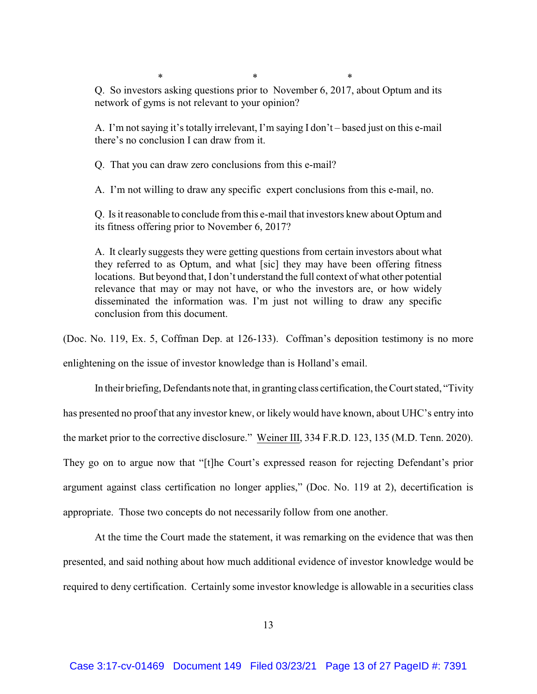$*$  \*  $*$  \*

Q. So investors asking questions prior to November 6, 2017, about Optum and its network of gyms is not relevant to your opinion?

A. I'm not saying it's totally irrelevant, I'm saying I don't – based just on this e-mail there's no conclusion I can draw from it.

Q. That you can draw zero conclusions from this e-mail?

A. I'm not willing to draw any specific expert conclusions from this e-mail, no.

Q. Is it reasonable to conclude from this e-mail that investors knew about Optum and its fitness offering prior to November 6, 2017?

A. It clearly suggests they were getting questions from certain investors about what they referred to as Optum, and what [sic] they may have been offering fitness locations. But beyond that, I don't understand the full context of what other potential relevance that may or may not have, or who the investors are, or how widely disseminated the information was. I'm just not willing to draw any specific conclusion from this document.

(Doc. No. 119, Ex. 5, Coffman Dep. at 126-133). Coffman's deposition testimony is no more

enlightening on the issue of investor knowledge than is Holland's email.

In their briefing, Defendants note that, in granting class certification, the Court stated, "Tivity has presented no proof that any investor knew, or likely would have known, about UHC's entry into the market prior to the corrective disclosure." Weiner III, 334 F.R.D. 123, 135 (M.D. Tenn. 2020). They go on to argue now that "[t]he Court's expressed reason for rejecting Defendant's prior argument against class certification no longer applies," (Doc. No. 119 at 2), decertification is appropriate. Those two concepts do not necessarily follow from one another.

At the time the Court made the statement, it was remarking on the evidence that was then presented, and said nothing about how much additional evidence of investor knowledge would be required to deny certification. Certainly some investor knowledge is allowable in a securities class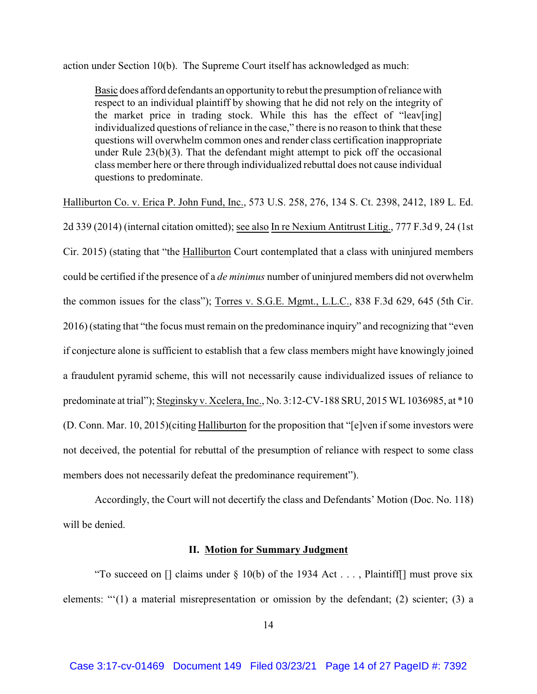action under Section 10(b). The Supreme Court itself has acknowledged as much:

Basic does afford defendants an opportunityto rebut the presumption of reliance with respect to an individual plaintiff by showing that he did not rely on the integrity of the market price in trading stock. While this has the effect of "leav[ing] individualized questions of reliance in the case," there is no reason to think that these questions will overwhelm common ones and render class certification inappropriate under Rule 23(b)(3). That the defendant might attempt to pick off the occasional class member here or there through individualized rebuttal does not cause individual questions to predominate.

Halliburton Co. v. Erica P. John Fund, Inc., 573 U.S. 258, 276, 134 S. Ct. 2398, 2412, 189 L. Ed.

2d 339 (2014) (internal citation omitted); see also In re Nexium Antitrust Litig., 777 F.3d 9, 24 (1st Cir. 2015) (stating that "the Halliburton Court contemplated that a class with uninjured members could be certified if the presence of a *de minimus* number of uninjured members did not overwhelm the common issues for the class"); Torres v. S.G.E. Mgmt., L.L.C., 838 F.3d 629, 645 (5th Cir. 2016) (stating that "the focus must remain on the predominance inquiry" and recognizing that "even if conjecture alone is sufficient to establish that a few class members might have knowingly joined a fraudulent pyramid scheme, this will not necessarily cause individualized issues of reliance to predominate at trial"); Steginsky v. Xcelera, Inc., No. 3:12-CV-188 SRU, 2015 WL 1036985, at \*10 (D. Conn. Mar. 10, 2015)(citing Halliburton for the proposition that "[e]ven if some investors were not deceived, the potential for rebuttal of the presumption of reliance with respect to some class members does not necessarily defeat the predominance requirement").

Accordingly, the Court will not decertify the class and Defendants' Motion (Doc. No. 118) will be denied.

## **II. Motion for Summary Judgment**

"To succeed on  $\lceil \cdot \rceil$  claims under § 10(b) of the 1934 Act . . . , Plaintiff nust prove six elements: "'(1) a material misrepresentation or omission by the defendant; (2) scienter; (3) a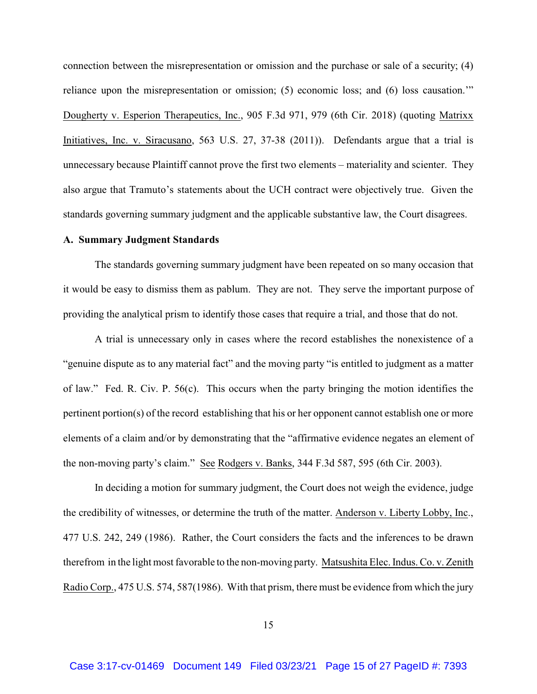connection between the misrepresentation or omission and the purchase or sale of a security; (4) reliance upon the misrepresentation or omission; (5) economic loss; and (6) loss causation.'" Dougherty v. Esperion Therapeutics, Inc., 905 F.3d 971, 979 (6th Cir. 2018) (quoting Matrixx Initiatives, Inc. v. Siracusano, 563 U.S. 27, 37-38 (2011)). Defendants argue that a trial is unnecessary because Plaintiff cannot prove the first two elements – materiality and scienter. They also argue that Tramuto's statements about the UCH contract were objectively true. Given the standards governing summary judgment and the applicable substantive law, the Court disagrees.

### **A. Summary Judgment Standards**

The standards governing summary judgment have been repeated on so many occasion that it would be easy to dismiss them as pablum. They are not. They serve the important purpose of providing the analytical prism to identify those cases that require a trial, and those that do not.

A trial is unnecessary only in cases where the record establishes the nonexistence of a "genuine dispute as to any material fact" and the moving party "is entitled to judgment as a matter of law." Fed. R. Civ. P. 56(c). This occurs when the party bringing the motion identifies the pertinent portion(s) of the record establishing that his or her opponent cannot establish one or more elements of a claim and/or by demonstrating that the "affirmative evidence negates an element of the non-moving party's claim." See Rodgers v. Banks, 344 F.3d 587, 595 (6th Cir. 2003).

In deciding a motion for summary judgment, the Court does not weigh the evidence, judge the credibility of witnesses, or determine the truth of the matter. Anderson v. Liberty Lobby, Inc., 477 U.S. 242, 249 (1986). Rather, the Court considers the facts and the inferences to be drawn therefrom in the light most favorable to the non-moving party. Matsushita Elec. Indus. Co. v. Zenith Radio Corp., 475 U.S. 574, 587(1986). With that prism, there must be evidence from which the jury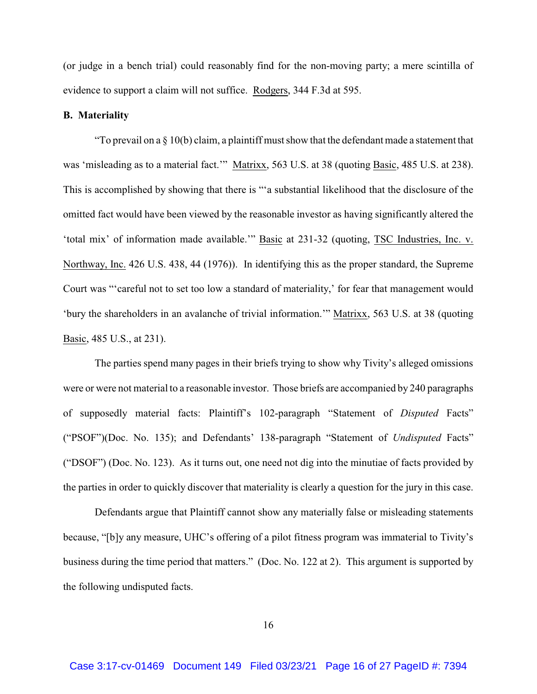(or judge in a bench trial) could reasonably find for the non-moving party; a mere scintilla of evidence to support a claim will not suffice. Rodgers, 344 F.3d at 595.

## **B. Materiality**

"To prevail on a  $\S$  10(b) claim, a plaintiff must show that the defendant made a statement that was 'misleading as to a material fact.'" Matrixx, 563 U.S. at 38 (quoting Basic, 485 U.S. at 238). This is accomplished by showing that there is "'a substantial likelihood that the disclosure of the omitted fact would have been viewed by the reasonable investor as having significantly altered the 'total mix' of information made available.'" Basic at 231-32 (quoting, TSC Industries, Inc. v. Northway, Inc. 426 U.S. 438, 44 (1976)). In identifying this as the proper standard, the Supreme Court was "'careful not to set too low a standard of materiality,' for fear that management would 'bury the shareholders in an avalanche of trivial information.'" Matrixx, 563 U.S. at 38 (quoting Basic, 485 U.S., at 231).

The parties spend many pages in their briefs trying to show why Tivity's alleged omissions were or were not material to a reasonable investor. Those briefs are accompanied by 240 paragraphs of supposedly material facts: Plaintiff's 102-paragraph "Statement of *Disputed* Facts" ("PSOF")(Doc. No. 135); and Defendants' 138-paragraph "Statement of *Undisputed* Facts" ("DSOF") (Doc. No. 123). As it turns out, one need not dig into the minutiae of facts provided by the parties in order to quickly discover that materiality is clearly a question for the jury in this case.

Defendants argue that Plaintiff cannot show any materially false or misleading statements because, "[b]y any measure, UHC's offering of a pilot fitness program was immaterial to Tivity's business during the time period that matters." (Doc. No. 122 at 2). This argument is supported by the following undisputed facts.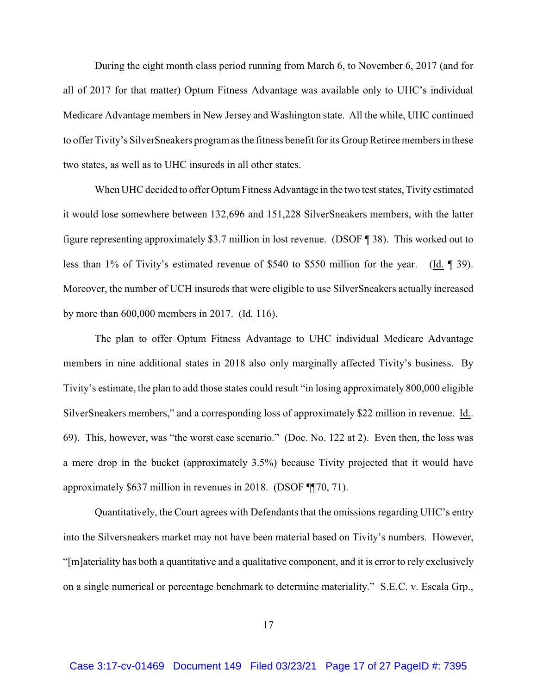During the eight month class period running from March 6, to November 6, 2017 (and for all of 2017 for that matter) Optum Fitness Advantage was available only to UHC's individual Medicare Advantage members in New Jersey and Washington state. All the while, UHC continued to offer Tivity's SilverSneakers program as the fitness benefit for its Group Retiree members in these two states, as well as to UHC insureds in all other states.

When UHC decided to offer Optum Fitness Advantage in the two test states, Tivity estimated it would lose somewhere between 132,696 and 151,228 SilverSneakers members, with the latter figure representing approximately \$3.7 million in lost revenue. (DSOF ¶ 38). This worked out to less than 1% of Tivity's estimated revenue of \$540 to \$550 million for the year. (Id. ¶ 39). Moreover, the number of UCH insureds that were eligible to use SilverSneakers actually increased by more than 600,000 members in 2017. (Id. 116).

The plan to offer Optum Fitness Advantage to UHC individual Medicare Advantage members in nine additional states in 2018 also only marginally affected Tivity's business. By Tivity's estimate, the plan to add those states could result "in losing approximately 800,000 eligible SilverSneakers members," and a corresponding loss of approximately \$22 million in revenue. Id.. 69). This, however, was "the worst case scenario." (Doc. No. 122 at 2). Even then, the loss was a mere drop in the bucket (approximately 3.5%) because Tivity projected that it would have approximately \$637 million in revenues in 2018. (DSOF ¶¶70, 71).

Quantitatively, the Court agrees with Defendants that the omissions regarding UHC's entry into the Silversneakers market may not have been material based on Tivity's numbers. However, "[m]ateriality has both a quantitative and a qualitative component, and it is error to rely exclusively on a single numerical or percentage benchmark to determine materiality." S.E.C. v. Escala Grp.,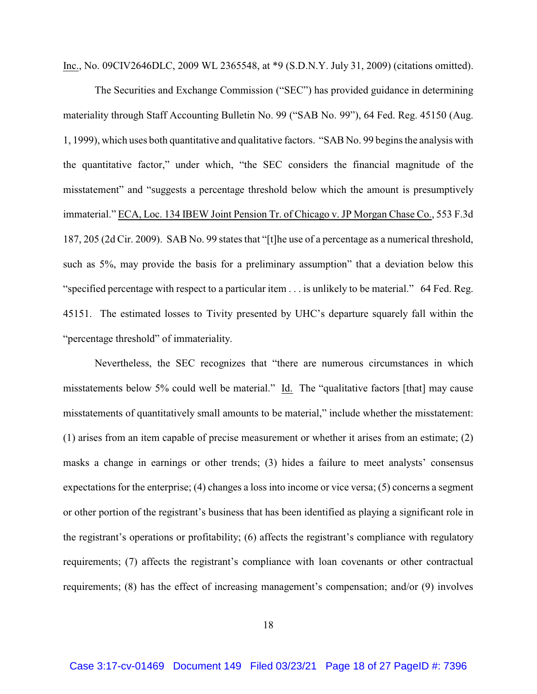Inc., No. 09CIV2646DLC, 2009 WL 2365548, at \*9 (S.D.N.Y. July 31, 2009) (citations omitted).

The Securities and Exchange Commission ("SEC") has provided guidance in determining materiality through Staff Accounting Bulletin No. 99 ("SAB No. 99"), 64 Fed. Reg. 45150 (Aug. 1, 1999), which uses both quantitative and qualitative factors. "SAB No. 99 begins the analysis with the quantitative factor," under which, "the SEC considers the financial magnitude of the misstatement" and "suggests a percentage threshold below which the amount is presumptively immaterial." ECA, Loc. 134 IBEW Joint Pension Tr. of Chicago v. JP Morgan Chase Co., 553 F.3d 187, 205 (2d Cir. 2009). SAB No. 99 states that "[t]he use of a percentage as a numerical threshold, such as 5%, may provide the basis for a preliminary assumption" that a deviation below this "specified percentage with respect to a particular item . . . is unlikely to be material." 64 Fed. Reg. 45151. The estimated losses to Tivity presented by UHC's departure squarely fall within the "percentage threshold" of immateriality.

Nevertheless, the SEC recognizes that "there are numerous circumstances in which misstatements below 5% could well be material." Id. The "qualitative factors [that] may cause misstatements of quantitatively small amounts to be material," include whether the misstatement: (1) arises from an item capable of precise measurement or whether it arises from an estimate; (2) masks a change in earnings or other trends; (3) hides a failure to meet analysts' consensus expectations for the enterprise; (4) changes a loss into income or vice versa; (5) concerns a segment or other portion of the registrant's business that has been identified as playing a significant role in the registrant's operations or profitability; (6) affects the registrant's compliance with regulatory requirements; (7) affects the registrant's compliance with loan covenants or other contractual requirements; (8) has the effect of increasing management's compensation; and/or (9) involves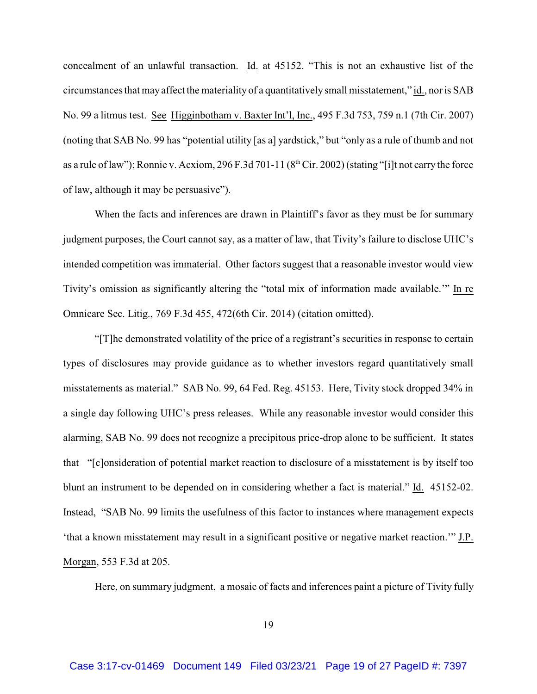concealment of an unlawful transaction. Id. at 45152. "This is not an exhaustive list of the circumstances that may affect the materiality of a quantitatively small misstatement," id., nor is SAB No. 99 a litmus test. See Higginbotham v. Baxter Int'l, Inc., 495 F.3d 753, 759 n.1 (7th Cir. 2007) (noting that SAB No. 99 has "potential utility [as a] yardstick," but "only as a rule of thumb and not as a rule of law"); Ronnie v. Acxiom,  $296$  F.3d 701-11 ( $8<sup>th</sup>$  Cir. 2002) (stating "[i]t not carry the force of law, although it may be persuasive").

When the facts and inferences are drawn in Plaintiff's favor as they must be for summary judgment purposes, the Court cannot say, as a matter of law, that Tivity's failure to disclose UHC's intended competition was immaterial. Other factors suggest that a reasonable investor would view Tivity's omission as significantly altering the "total mix of information made available.'" In re Omnicare Sec. Litig., 769 F.3d 455, 472(6th Cir. 2014) (citation omitted).

"[T]he demonstrated volatility of the price of a registrant's securities in response to certain types of disclosures may provide guidance as to whether investors regard quantitatively small misstatements as material." SAB No. 99, 64 Fed. Reg. 45153. Here, Tivity stock dropped 34% in a single day following UHC's press releases. While any reasonable investor would consider this alarming, SAB No. 99 does not recognize a precipitous price-drop alone to be sufficient. It states that "[c]onsideration of potential market reaction to disclosure of a misstatement is by itself too blunt an instrument to be depended on in considering whether a fact is material." Id. 45152-02. Instead, "SAB No. 99 limits the usefulness of this factor to instances where management expects 'that a known misstatement may result in a significant positive or negative market reaction.'" J.P. Morgan, 553 F.3d at 205.

Here, on summary judgment, a mosaic of facts and inferences paint a picture of Tivity fully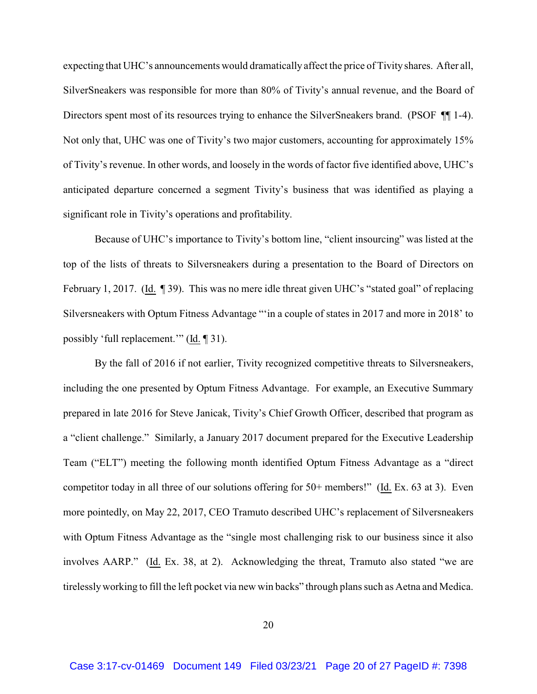expecting that UHC's announcements would dramatically affect the price of Tivity shares. After all, SilverSneakers was responsible for more than 80% of Tivity's annual revenue, and the Board of Directors spent most of its resources trying to enhance the SilverSneakers brand. (PSOF ¶¶ 1-4). Not only that, UHC was one of Tivity's two major customers, accounting for approximately 15% of Tivity's revenue. In other words, and loosely in the words of factor five identified above, UHC's anticipated departure concerned a segment Tivity's business that was identified as playing a significant role in Tivity's operations and profitability.

Because of UHC's importance to Tivity's bottom line, "client insourcing" was listed at the top of the lists of threats to Silversneakers during a presentation to the Board of Directors on February 1, 2017. (Id. ¶ 39). This was no mere idle threat given UHC's "stated goal" of replacing Silversneakers with Optum Fitness Advantage "'in a couple of states in 2017 and more in 2018' to possibly 'full replacement.'" (Id. ¶ 31).

By the fall of 2016 if not earlier, Tivity recognized competitive threats to Silversneakers, including the one presented by Optum Fitness Advantage. For example, an Executive Summary prepared in late 2016 for Steve Janicak, Tivity's Chief Growth Officer, described that program as a "client challenge." Similarly, a January 2017 document prepared for the Executive Leadership Team ("ELT") meeting the following month identified Optum Fitness Advantage as a "direct competitor today in all three of our solutions offering for 50+ members!" (Id. Ex. 63 at 3). Even more pointedly, on May 22, 2017, CEO Tramuto described UHC's replacement of Silversneakers with Optum Fitness Advantage as the "single most challenging risk to our business since it also involves AARP." (Id. Ex. 38, at 2). Acknowledging the threat, Tramuto also stated "we are tirelesslyworking to fill the left pocket via new win backs" through plans such as Aetna and Medica.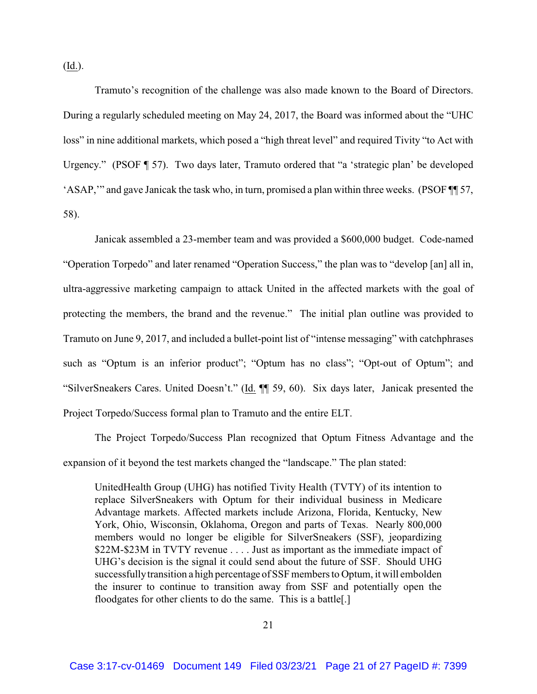(Id.).

Tramuto's recognition of the challenge was also made known to the Board of Directors. During a regularly scheduled meeting on May 24, 2017, the Board was informed about the "UHC loss" in nine additional markets, which posed a "high threat level" and required Tivity "to Act with Urgency." (PSOF ¶ 57). Two days later, Tramuto ordered that "a 'strategic plan' be developed 'ASAP,'" and gave Janicak the task who, in turn, promised a plan within three weeks. (PSOF ¶¶ 57, 58).

Janicak assembled a 23-member team and was provided a \$600,000 budget. Code-named "Operation Torpedo" and later renamed "Operation Success," the plan was to "develop [an] all in, ultra-aggressive marketing campaign to attack United in the affected markets with the goal of protecting the members, the brand and the revenue." The initial plan outline was provided to Tramuto on June 9, 2017, and included a bullet-point list of "intense messaging" with catchphrases such as "Optum is an inferior product"; "Optum has no class"; "Opt-out of Optum"; and "SilverSneakers Cares. United Doesn't." (Id. ¶¶ 59, 60). Six days later, Janicak presented the Project Torpedo/Success formal plan to Tramuto and the entire ELT.

The Project Torpedo/Success Plan recognized that Optum Fitness Advantage and the expansion of it beyond the test markets changed the "landscape." The plan stated:

UnitedHealth Group (UHG) has notified Tivity Health (TVTY) of its intention to replace SilverSneakers with Optum for their individual business in Medicare Advantage markets. Affected markets include Arizona, Florida, Kentucky, New York, Ohio, Wisconsin, Oklahoma, Oregon and parts of Texas. Nearly 800,000 members would no longer be eligible for SilverSneakers (SSF), jeopardizing \$22M-\$23M in TVTY revenue . . . . Just as important as the immediate impact of UHG's decision is the signal it could send about the future of SSF. Should UHG successfully transition a high percentage of SSF members to Optum, it will embolden the insurer to continue to transition away from SSF and potentially open the floodgates for other clients to do the same. This is a battle[.]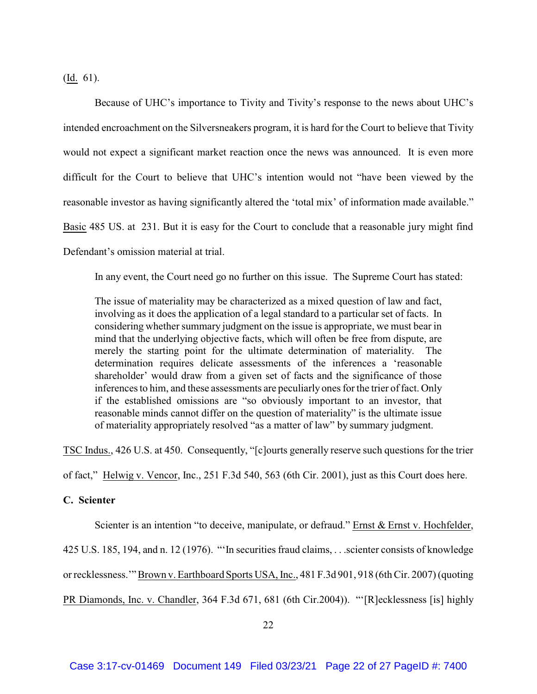(Id. 61).

Because of UHC's importance to Tivity and Tivity's response to the news about UHC's intended encroachment on the Silversneakers program, it is hard for the Court to believe that Tivity would not expect a significant market reaction once the news was announced. It is even more difficult for the Court to believe that UHC's intention would not "have been viewed by the reasonable investor as having significantly altered the 'total mix' of information made available." Basic 485 US. at 231. But it is easy for the Court to conclude that a reasonable jury might find Defendant's omission material at trial.

In any event, the Court need go no further on this issue. The Supreme Court has stated:

The issue of materiality may be characterized as a mixed question of law and fact, involving as it does the application of a legal standard to a particular set of facts. In considering whether summary judgment on the issue is appropriate, we must bear in mind that the underlying objective facts, which will often be free from dispute, are merely the starting point for the ultimate determination of materiality. The determination requires delicate assessments of the inferences a 'reasonable shareholder' would draw from a given set of facts and the significance of those inferences to him, and these assessments are peculiarly ones for the trier of fact. Only if the established omissions are "so obviously important to an investor, that reasonable minds cannot differ on the question of materiality" is the ultimate issue of materiality appropriately resolved "as a matter of law" by summary judgment.

TSC Indus., 426 U.S. at 450. Consequently, "[c]ourts generally reserve such questions for the trier

of fact," Helwig v. Vencor, Inc., 251 F.3d 540, 563 (6th Cir. 2001), just as this Court does here.

# **C. Scienter**

Scienter is an intention "to deceive, manipulate, or defraud." Ernst & Ernst v. Hochfelder,

425 U.S. 185, 194, and n. 12 (1976). "'In securities fraud claims, . . .scienter consists of knowledge

or recklessness.'" Brown v. Earthboard Sports USA, Inc., 481 F.3d 901, 918 (6th Cir. 2007) (quoting

PR Diamonds, Inc. v. Chandler, 364 F.3d 671, 681 (6th Cir.2004)). "'[R]ecklessness [is] highly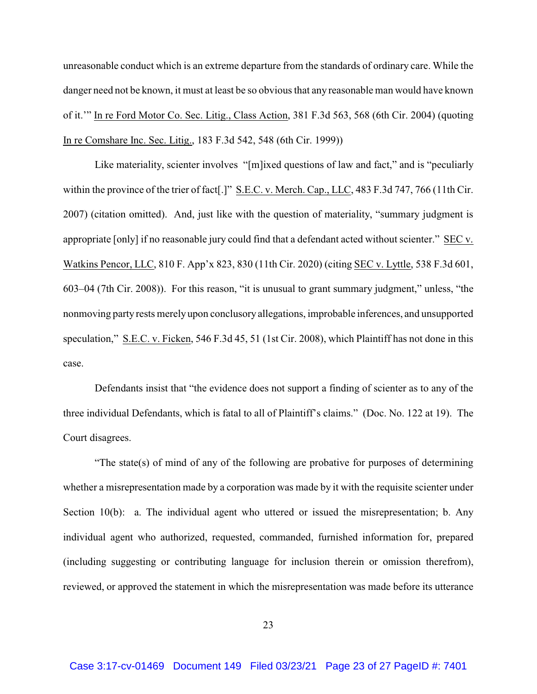unreasonable conduct which is an extreme departure from the standards of ordinary care. While the danger need not be known, it must at least be so obvious that any reasonable man would have known of it.'" In re Ford Motor Co. Sec. Litig., Class Action, 381 F.3d 563, 568 (6th Cir. 2004) (quoting In re Comshare Inc. Sec. Litig., 183 F.3d 542, 548 (6th Cir. 1999))

Like materiality, scienter involves "[m]ixed questions of law and fact," and is "peculiarly within the province of the trier of fact[.]" S.E.C. v. Merch. Cap., LLC, 483 F.3d 747, 766 (11th Cir. 2007) (citation omitted). And, just like with the question of materiality, "summary judgment is appropriate [only] if no reasonable jury could find that a defendant acted without scienter." SEC v. Watkins Pencor, LLC, 810 F. App'x 823, 830 (11th Cir. 2020) (citing SEC v. Lyttle, 538 F.3d 601, 603–04 (7th Cir. 2008)). For this reason, "it is unusual to grant summary judgment," unless, "the nonmoving party rests merely upon conclusory allegations, improbable inferences, and unsupported speculation," S.E.C. v. Ficken, 546 F.3d 45, 51 (1st Cir. 2008), which Plaintiff has not done in this case.

Defendants insist that "the evidence does not support a finding of scienter as to any of the three individual Defendants, which is fatal to all of Plaintiff's claims." (Doc. No. 122 at 19). The Court disagrees.

"The state(s) of mind of any of the following are probative for purposes of determining whether a misrepresentation made by a corporation was made by it with the requisite scienter under Section 10(b): a. The individual agent who uttered or issued the misrepresentation; b. Any individual agent who authorized, requested, commanded, furnished information for, prepared (including suggesting or contributing language for inclusion therein or omission therefrom), reviewed, or approved the statement in which the misrepresentation was made before its utterance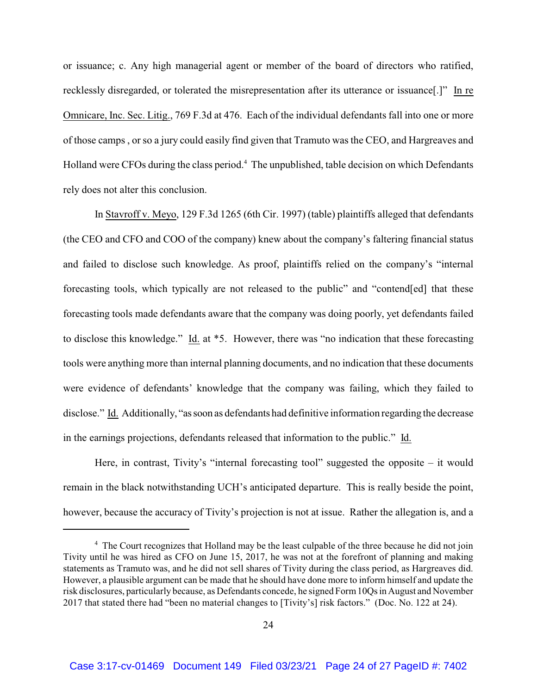or issuance; c. Any high managerial agent or member of the board of directors who ratified, recklessly disregarded, or tolerated the misrepresentation after its utterance or issuance[.]" In re Omnicare, Inc. Sec. Litig., 769 F.3d at 476. Each of the individual defendants fall into one or more of those camps , or so a jury could easily find given that Tramuto was the CEO, and Hargreaves and Holland were CFOs during the class period.<sup>4</sup> The unpublished, table decision on which Defendants rely does not alter this conclusion.

In Stavroff v. Meyo, 129 F.3d 1265 (6th Cir. 1997) (table) plaintiffs alleged that defendants (the CEO and CFO and COO of the company) knew about the company's faltering financial status and failed to disclose such knowledge. As proof, plaintiffs relied on the company's "internal forecasting tools, which typically are not released to the public" and "contend[ed] that these forecasting tools made defendants aware that the company was doing poorly, yet defendants failed to disclose this knowledge." Id. at \*5. However, there was "no indication that these forecasting tools were anything more than internal planning documents, and no indication that these documents were evidence of defendants' knowledge that the company was failing, which they failed to disclose." Id. Additionally, "assoon as defendants had definitive information regarding the decrease in the earnings projections, defendants released that information to the public." Id.

Here, in contrast, Tivity's "internal forecasting tool" suggested the opposite – it would remain in the black notwithstanding UCH's anticipated departure. This is really beside the point, however, because the accuracy of Tivity's projection is not at issue. Rather the allegation is, and a

<sup>&</sup>lt;sup>4</sup> The Court recognizes that Holland may be the least culpable of the three because he did not join Tivity until he was hired as CFO on June 15, 2017, he was not at the forefront of planning and making statements as Tramuto was, and he did not sell shares of Tivity during the class period, as Hargreaves did. However, a plausible argument can be made that he should have done more to inform himself and update the risk disclosures, particularly because, as Defendants concede, he signed Form10Qs in August and November 2017 that stated there had "been no material changes to [Tivity's] risk factors." (Doc. No. 122 at 24).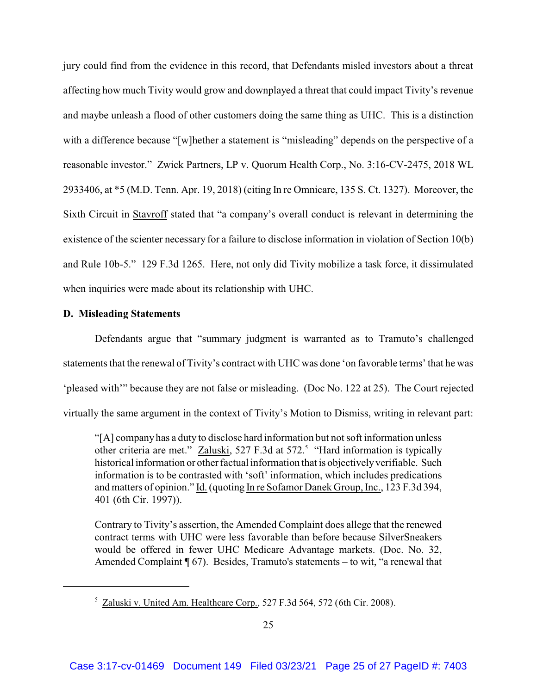jury could find from the evidence in this record, that Defendants misled investors about a threat affecting how much Tivity would grow and downplayed a threat that could impact Tivity's revenue and maybe unleash a flood of other customers doing the same thing as UHC. This is a distinction with a difference because "[w]hether a statement is "misleading" depends on the perspective of a reasonable investor." Zwick Partners, LP v. Quorum Health Corp., No. 3:16-CV-2475, 2018 WL 2933406, at \*5 (M.D. Tenn. Apr. 19, 2018) (citing In re Omnicare, 135 S. Ct. 1327). Moreover, the Sixth Circuit in Stavroff stated that "a company's overall conduct is relevant in determining the existence of the scienter necessary for a failure to disclose information in violation of Section 10(b) and Rule 10b-5." 129 F.3d 1265. Here, not only did Tivity mobilize a task force, it dissimulated when inquiries were made about its relationship with UHC.

# **D. Misleading Statements**

Defendants argue that "summary judgment is warranted as to Tramuto's challenged statements that the renewal of Tivity's contract with UHC was done 'on favorable terms' that he was 'pleased with'" because they are not false or misleading. (Doc No. 122 at 25). The Court rejected virtually the same argument in the context of Tivity's Motion to Dismiss, writing in relevant part:

"[A] company has a duty to disclose hard information but not soft information unless other criteria are met." Zaluski, 527 F.3d at 572.<sup>5</sup> "Hard information is typically historical information or other factual information that is objectivelyverifiable. Such information is to be contrasted with 'soft' information, which includes predications and matters of opinion." Id. (quoting In re Sofamor Danek Group, Inc., 123 F.3d 394, 401 (6th Cir. 1997)).

Contrary to Tivity's assertion, the Amended Complaint does allege that the renewed contract terms with UHC were less favorable than before because SilverSneakers would be offered in fewer UHC Medicare Advantage markets. (Doc. No. 32, Amended Complaint ¶ 67). Besides, Tramuto's statements – to wit, "a renewal that

<sup>&</sup>lt;sup>5</sup> Zaluski v. United Am. Healthcare Corp., 527 F.3d 564, 572 (6th Cir. 2008).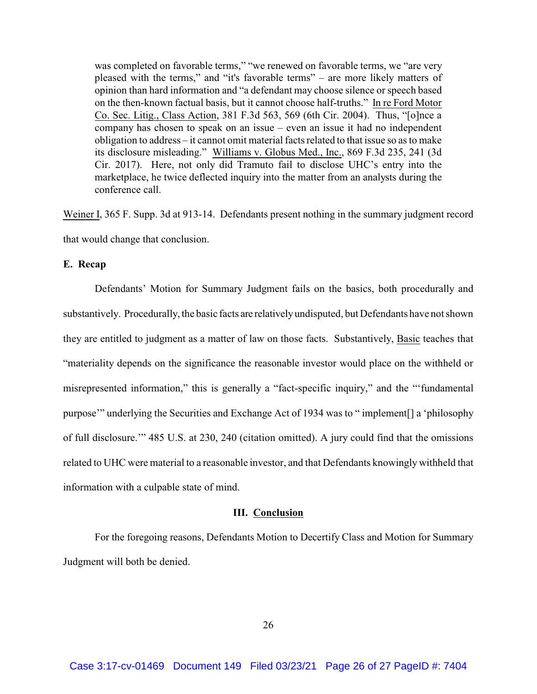was completed on favorable terms," "we renewed on favorable terms, we "are very pleased with the terms," and "it's favorable terms" – are more likely matters of opinion than hard information and "a defendant may choose silence or speech based on the then-known factual basis, but it cannot choose half-truths." In re Ford Motor Co. Sec. Litig., Class Action, 381 F.3d 563, 569 (6th Cir. 2004). Thus, "[o]nce a company has chosen to speak on an issue – even an issue it had no independent obligation to address – it cannot omit material facts related to that issue so as to make its disclosure misleading." Williams v. Globus Med., Inc., 869 F.3d 235, 241 (3d Cir. 2017). Here, not only did Tramuto fail to disclose UHC's entry into the marketplace, he twice deflected inquiry into the matter from an analysts during the conference call.

Weiner I, 365 F. Supp. 3d at 913-14. Defendants present nothing in the summary judgment record that would change that conclusion.

#### **E. Recap**

Defendants' Motion for Summary Judgment fails on the basics, both procedurally and substantively. Procedurally, the basic facts are relativelyundisputed, but Defendants have not shown they are entitled to judgment as a matter of law on those facts. Substantively, Basic teaches that "materiality depends on the significance the reasonable investor would place on the withheld or misrepresented information," this is generally a "fact-specific inquiry," and the "'fundamental purpose'" underlying the Securities and Exchange Act of 1934 was to " implement[] a 'philosophy of full disclosure.'" 485 U.S. at 230, 240 (citation omitted). A jury could find that the omissions related to UHC were material to a reasonable investor, and that Defendants knowingly withheld that information with a culpable state of mind.

# **III. Conclusion**

For the foregoing reasons, Defendants Motion to Decertify Class and Motion for Summary Judgment will both be denied.